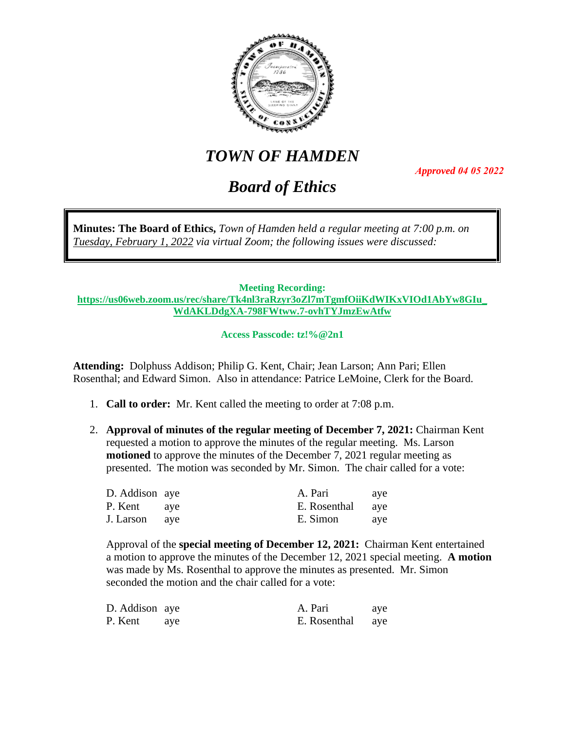

# *TOWN OF HAMDEN*

*Approved 04 05 2022*

## *Board of Ethics*

**Minutes: The Board of Ethics,** *Town of Hamden held a regular meeting at 7:00 p.m. on Tuesday, February 1, 2022 via virtual Zoom; the following issues were discussed:*

## **Meeting Recording:**

**[https://us06web.zoom.us/rec/share/Tk4nl3raRzyr3oZl7mTgmfOiiKdWIKxVIOd1AbYw8GIu\\_](https://us06web.zoom.us/rec/share/Tk4nl3raRzyr3oZl7mTgmfOiiKdWIKxVIOd1AbYw8GIu_WdAKLDdgXA-798FWtww.7-ovhTYJmzEwAtfw) [WdAKLDdgXA-798FWtww.7-ovhTYJmzEwAtfw](https://us06web.zoom.us/rec/share/Tk4nl3raRzyr3oZl7mTgmfOiiKdWIKxVIOd1AbYw8GIu_WdAKLDdgXA-798FWtww.7-ovhTYJmzEwAtfw)**

**Access Passcode: tz!%@2n1**

**Attending:** Dolphuss Addison; Philip G. Kent, Chair; Jean Larson; Ann Pari; Ellen Rosenthal; and Edward Simon. Also in attendance: Patrice LeMoine, Clerk for the Board.

- 1. **Call to order:** Mr. Kent called the meeting to order at 7:08 p.m.
- 2. **Approval of minutes of the regular meeting of December 7, 2021:** Chairman Kent requested a motion to approve the minutes of the regular meeting. Ms. Larson **motioned** to approve the minutes of the December 7, 2021 regular meeting as presented. The motion was seconded by Mr. Simon. The chair called for a vote:

| D. Addison aye | A. Pari          | ave |
|----------------|------------------|-----|
| P. Kent ave    | E. Rosenthal aye |     |
| J. Larson aye  | E. Simon         | aye |

Approval of the **special meeting of December 12, 2021:** Chairman Kent entertained a motion to approve the minutes of the December 12, 2021 special meeting. **A motion** was made by Ms. Rosenthal to approve the minutes as presented. Mr. Simon seconded the motion and the chair called for a vote:

| D. Addison aye |     | A. Pari      | ave |
|----------------|-----|--------------|-----|
| P. Kent        | ave | E. Rosenthal | aye |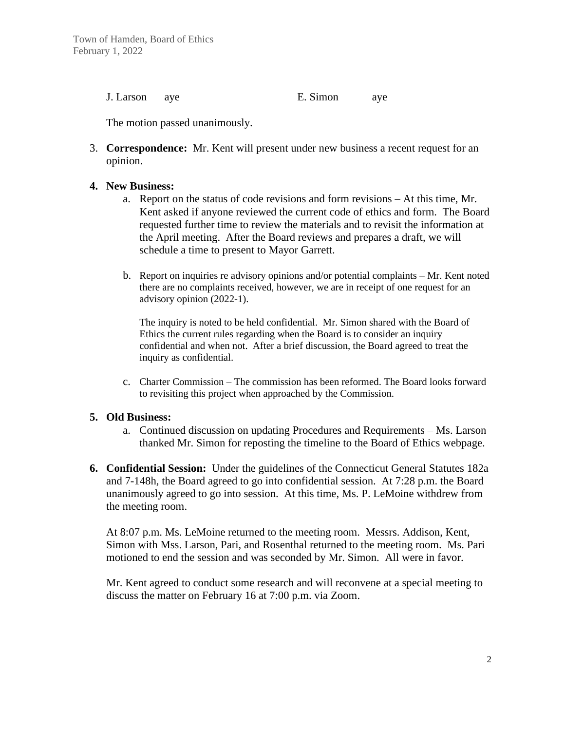J. Larson aye E. Simon aye

The motion passed unanimously.

3. **Correspondence:** Mr. Kent will present under new business a recent request for an opinion.

### **4. New Business:**

- a. Report on the status of code revisions and form revisions At this time, Mr. Kent asked if anyone reviewed the current code of ethics and form. The Board requested further time to review the materials and to revisit the information at the April meeting. After the Board reviews and prepares a draft, we will schedule a time to present to Mayor Garrett.
- b. Report on inquiries re advisory opinions and/or potential complaints Mr. Kent noted there are no complaints received, however, we are in receipt of one request for an advisory opinion (2022-1).

The inquiry is noted to be held confidential. Mr. Simon shared with the Board of Ethics the current rules regarding when the Board is to consider an inquiry confidential and when not. After a brief discussion, the Board agreed to treat the inquiry as confidential.

c. Charter Commission – The commission has been reformed. The Board looks forward to revisiting this project when approached by the Commission.

### **5. Old Business:**

- a. Continued discussion on updating Procedures and Requirements Ms. Larson thanked Mr. Simon for reposting the timeline to the Board of Ethics webpage.
- **6. Confidential Session:** Under the guidelines of the Connecticut General Statutes 182a and 7-148h, the Board agreed to go into confidential session. At 7:28 p.m. the Board unanimously agreed to go into session. At this time, Ms. P. LeMoine withdrew from the meeting room.

At 8:07 p.m. Ms. LeMoine returned to the meeting room. Messrs. Addison, Kent, Simon with Mss. Larson, Pari, and Rosenthal returned to the meeting room. Ms. Pari motioned to end the session and was seconded by Mr. Simon. All were in favor.

Mr. Kent agreed to conduct some research and will reconvene at a special meeting to discuss the matter on February 16 at 7:00 p.m. via Zoom.